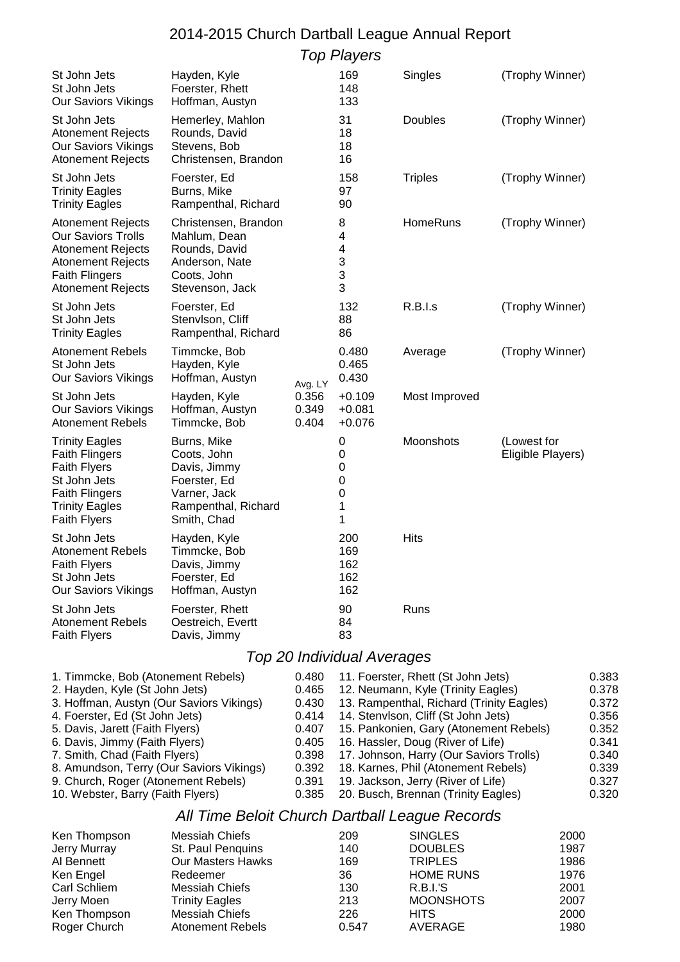## 2014-2015 Church Dartball League Annual Report

Top Players

| St John Jets<br>St John Jets<br><b>Our Saviors Vikings</b>                                                                                                                                                                                                                                                                                                                       | Hayden, Kyle<br>Foerster, Rhett<br>Hoffman, Austyn                                                                            |                                                                                        | 169<br>148<br>133                                                                                                                                                                                                                                                                                                                                                                                         | Singles                                                                                                       | (Trophy Winner)                  |                                              |                                                                                        |  |
|----------------------------------------------------------------------------------------------------------------------------------------------------------------------------------------------------------------------------------------------------------------------------------------------------------------------------------------------------------------------------------|-------------------------------------------------------------------------------------------------------------------------------|----------------------------------------------------------------------------------------|-----------------------------------------------------------------------------------------------------------------------------------------------------------------------------------------------------------------------------------------------------------------------------------------------------------------------------------------------------------------------------------------------------------|---------------------------------------------------------------------------------------------------------------|----------------------------------|----------------------------------------------|----------------------------------------------------------------------------------------|--|
| St John Jets<br><b>Atonement Rejects</b><br><b>Our Saviors Vikings</b><br><b>Atonement Rejects</b>                                                                                                                                                                                                                                                                               | Hemerley, Mahlon<br>Rounds, David<br>Stevens, Bob<br>Christensen, Brandon                                                     |                                                                                        | 31<br>18<br>18<br>16                                                                                                                                                                                                                                                                                                                                                                                      | Doubles                                                                                                       | (Trophy Winner)                  |                                              |                                                                                        |  |
| St John Jets<br><b>Trinity Eagles</b><br><b>Trinity Eagles</b>                                                                                                                                                                                                                                                                                                                   | Foerster, Ed<br>Burns, Mike<br>Rampenthal, Richard                                                                            |                                                                                        | 158<br>97<br>90                                                                                                                                                                                                                                                                                                                                                                                           | <b>Triples</b>                                                                                                | (Trophy Winner)                  |                                              |                                                                                        |  |
| <b>Atonement Rejects</b><br><b>Our Saviors Trolls</b><br><b>Atonement Rejects</b><br><b>Atonement Rejects</b><br><b>Faith Flingers</b><br><b>Atonement Rejects</b>                                                                                                                                                                                                               | Christensen, Brandon<br>Mahlum, Dean<br>Rounds, David<br>Anderson, Nate<br>Coots, John<br>Stevenson, Jack                     |                                                                                        | 8<br>4<br>4<br>3<br>3<br>3                                                                                                                                                                                                                                                                                                                                                                                | HomeRuns                                                                                                      | (Trophy Winner)                  |                                              |                                                                                        |  |
| St John Jets<br>St John Jets<br><b>Trinity Eagles</b>                                                                                                                                                                                                                                                                                                                            | Foerster, Ed<br>Stenvlson, Cliff<br>Rampenthal, Richard                                                                       |                                                                                        | 132<br>88<br>86                                                                                                                                                                                                                                                                                                                                                                                           | R.B.I.s                                                                                                       | (Trophy Winner)                  |                                              |                                                                                        |  |
| <b>Atonement Rebels</b><br>St John Jets<br><b>Our Saviors Vikings</b>                                                                                                                                                                                                                                                                                                            | Timmcke, Bob<br>Hayden, Kyle<br>Hoffman, Austyn                                                                               | Avg. LY                                                                                | 0.480<br>0.465<br>0.430                                                                                                                                                                                                                                                                                                                                                                                   | Average                                                                                                       | (Trophy Winner)                  |                                              |                                                                                        |  |
| St John Jets<br><b>Our Saviors Vikings</b><br><b>Atonement Rebels</b>                                                                                                                                                                                                                                                                                                            | Hayden, Kyle<br>Hoffman, Austyn<br>Timmcke, Bob                                                                               | 0.356<br>0.349<br>0.404                                                                | $+0.109$<br>$+0.081$<br>$+0.076$                                                                                                                                                                                                                                                                                                                                                                          | Most Improved                                                                                                 |                                  |                                              |                                                                                        |  |
| <b>Trinity Eagles</b><br><b>Faith Flingers</b><br><b>Faith Flyers</b><br>St John Jets<br><b>Faith Flingers</b><br><b>Trinity Eagles</b><br><b>Faith Flyers</b>                                                                                                                                                                                                                   | Burns, Mike<br>Coots, John<br>Davis, Jimmy<br>Foerster, Ed<br>Varner, Jack<br>Rampenthal, Richard<br>Smith, Chad              |                                                                                        | 0<br>0<br>0<br>0<br>0<br>1<br>1                                                                                                                                                                                                                                                                                                                                                                           | Moonshots                                                                                                     | (Lowest for<br>Eligible Players) |                                              |                                                                                        |  |
| St John Jets<br><b>Atonement Rebels</b><br><b>Faith Flyers</b><br>St John Jets<br><b>Our Saviors Vikings</b>                                                                                                                                                                                                                                                                     | Hayden, Kyle<br>Timmcke, Bob<br>Davis, Jimmy<br>Foerster, Ed<br>Hoffman, Austyn                                               |                                                                                        | 200<br>169<br>162<br>162<br>162                                                                                                                                                                                                                                                                                                                                                                           | <b>Hits</b>                                                                                                   |                                  |                                              |                                                                                        |  |
| St John Jets<br><b>Atonement Rebels</b><br><b>Faith Flyers</b>                                                                                                                                                                                                                                                                                                                   | Foerster, Rhett<br>Oestreich, Evertt<br>Davis, Jimmy                                                                          |                                                                                        | 90<br>84<br>83                                                                                                                                                                                                                                                                                                                                                                                            | Runs                                                                                                          |                                  |                                              |                                                                                        |  |
|                                                                                                                                                                                                                                                                                                                                                                                  |                                                                                                                               |                                                                                        | Top 20 Individual Averages                                                                                                                                                                                                                                                                                                                                                                                |                                                                                                               |                                  |                                              |                                                                                        |  |
| 1. Timmcke, Bob (Atonement Rebels)<br>2. Hayden, Kyle (St John Jets)<br>3. Hoffman, Austyn (Our Saviors Vikings)<br>4. Foerster, Ed (St John Jets)<br>5. Davis, Jarett (Faith Flyers)<br>6. Davis, Jimmy (Faith Flyers)<br>7. Smith, Chad (Faith Flyers)<br>8. Amundson, Terry (Our Saviors Vikings)<br>9. Church, Roger (Atonement Rebels)<br>10. Webster, Barry (Faith Flyers) |                                                                                                                               | 0.480<br>0.465<br>0.430<br>0.414<br>0.407<br>0.405<br>0.398<br>0.392<br>0.391<br>0.385 | 11. Foerster, Rhett (St John Jets)<br>12. Neumann, Kyle (Trinity Eagles)<br>13. Rampenthal, Richard (Trinity Eagles)<br>14. Stenvlson, Cliff (St John Jets)<br>15. Pankonien, Gary (Atonement Rebels)<br>16. Hassler, Doug (River of Life)<br>17. Johnson, Harry (Our Saviors Trolls)<br>18. Karnes, Phil (Atonement Rebels)<br>19. Jackson, Jerry (River of Life)<br>20. Busch, Brennan (Trinity Eagles) |                                                                                                               |                                  |                                              | 0.383<br>0.378<br>0.372<br>0.356<br>0.352<br>0.341<br>0.340<br>0.339<br>0.327<br>0.320 |  |
| All Time Beloit Church Dartball League Records                                                                                                                                                                                                                                                                                                                                   |                                                                                                                               |                                                                                        |                                                                                                                                                                                                                                                                                                                                                                                                           |                                                                                                               |                                  |                                              |                                                                                        |  |
| Ken Thompson<br><b>Jerry Murray</b><br>Al Bennett<br>Ken Engel<br>Carl Schliem<br>Jerry Moen                                                                                                                                                                                                                                                                                     | <b>Messiah Chiefs</b><br>St. Paul Penquins<br>Our Masters Hawks<br>Redeemer<br><b>Messiah Chiefs</b><br><b>Trinity Eagles</b> |                                                                                        | 209<br>140<br>169<br>36<br>130<br>213                                                                                                                                                                                                                                                                                                                                                                     | <b>SINGLES</b><br><b>DOUBLES</b><br><b>TRIPLES</b><br><b>HOME RUNS</b><br><b>R.B.I.'S</b><br><b>MOONSHOTS</b> |                                  | 2000<br>1987<br>1986<br>1976<br>2001<br>2007 |                                                                                        |  |

Ren Thompson Messiah Chiefs 226 HITS 2000<br>
Roger Church Atonement Rebels 0.547 AVERAGE 1980 Atonement Rebels 0.547